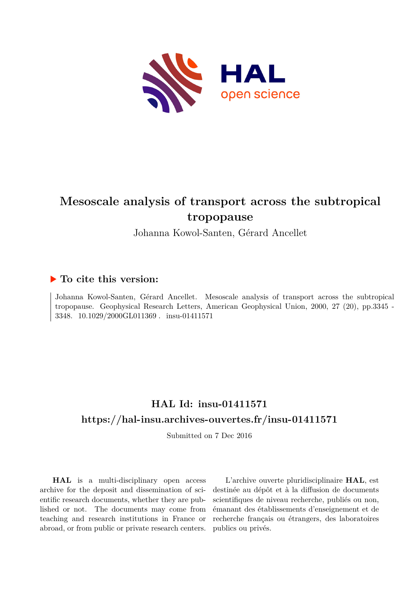

# **Mesoscale analysis of transport across the subtropical tropopause**

Johanna Kowol-Santen, Gérard Ancellet

## **To cite this version:**

Johanna Kowol-Santen, Gérard Ancellet. Mesoscale analysis of transport across the subtropical tropopause. Geophysical Research Letters, American Geophysical Union, 2000, 27 (20), pp.3345 - 3348.  $10.1029/2000$ GL011369 . insu-01411571

## **HAL Id: insu-01411571 <https://hal-insu.archives-ouvertes.fr/insu-01411571>**

Submitted on 7 Dec 2016

**HAL** is a multi-disciplinary open access archive for the deposit and dissemination of scientific research documents, whether they are published or not. The documents may come from teaching and research institutions in France or abroad, or from public or private research centers.

L'archive ouverte pluridisciplinaire **HAL**, est destinée au dépôt et à la diffusion de documents scientifiques de niveau recherche, publiés ou non, émanant des établissements d'enseignement et de recherche français ou étrangers, des laboratoires publics ou privés.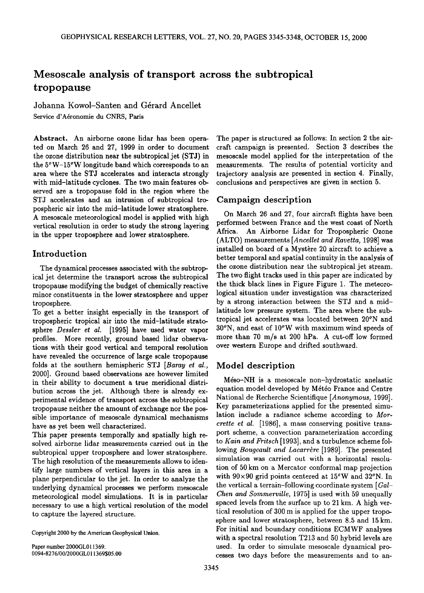## **Mesoscale analysis of transport across the subtropical tropopause**

**Johanna Kowol-Santen and Gérard Ancellet** Service d'Aéronomie du CNRS, Paris

**Abstract. An airborne ozone lidar has been operated on March 26 and 27, 1999 in order to document the ozone distribution near the subtropical jet (STJ) in the 5øW-15øW longitude band which corresponds to an area where the STJ accelerates and interacts strongly with mid-latitude cyclones. The two main features observed are a tropopause fold in the region where the STJ accelerates and an intrusion of subtropical tropospheric air into the mid-latitude lower stratosphere. A mesoscale meteorological model is applied with high vertical resolution in order to study the strong layering in the upper troposphere and lower stratosphere.** 

### **Introduction**

**The dynamical processes associated with the subtropical jet determine the transport across the subtropical tropopause modifying the budget of chemically reactive minor constituents in the lower stratosphere and upper troposphere.** 

**To get a better insight especially in the transport of tropospheric tropical air into the mid-latitude stratosphere Desder et al. [1995] have used water vapor profiles. More recently, ground based lidar observations with their good vertical and temporal resolution have revealed the occurrence of large scale tropopause folds at the southern hemispheric STJ [Baray et al., 2000]. Ground based observations are however limited in their ability to document a true meridional distribution across the jet. Although there is already experimental evidence of transport across the subtropical tropopause neither the amount of exchange nor the possible importance of mesoscale dynamical mechanisms have as yet been well characterized.** 

**This paper presents temporally and spatially high resolved airborne lidar measurements carried out in the subtropical upper troposphere and lower stratosphere. The high resolution of the measurements allows to identify large numbers of vertical layers in this area in a plane perpendicular to the jet. In order to analyze the underlying dynamical processes we perform mesoscale meteorological model simulations. It is in particular necessary to use a high vertical resolution of the model to capture the layered structure.** 

**Copyright 2000 by the American Geophysical Union.** 

**Paper number 2000GL011369. 0094-8276/00/2000GL011369505.00** 

**The paper is structured as follows: In section 2 the aircraft campaign is presented. Section 3 describes the mesoscale model applied for the interpretation of the measurements. The results of potential vorticity and trajectory analysis are presented in section 4. Finally, conclusions and perspectives are given in section 5.** 

### **Campaign description**

**On March 26 and 27, four aircraft flights have been performed between France and the west coast of North Africa. An Airborne Lidar for Tropospheric Ozone (ALTO) measurements [Ancellet and Ravetta, 1998] was**  installed on board of a Mystère 20 aircraft to achieve a **better temporal and spatial continuity in the analysis of the ozone distribution near the subtropical jet stream. The two flight tracks used in this paper are indicated by the thick black lines in Figure Figure 1. The meteorological situation under investigation was characterized by a strong interaction between the STJ and a midlatitude low pressure system. The area where the subtropical jet accelerates was located between 20øN and 30øN, and east of 10øW with maximum wind speeds of more than 70 m/s at 200 hPa. A cut-off low formed over western Europe and drifted southward.** 

### **Model description**

Méso-NH is a mesoscale non-hydrostatic anelastic equation model developed by Météo France and Centre **National de Recherche Scientifique [Anonymous, 1999]. Key parameterizations applied for the presented simulation include a radiance scheme according to Morcrette et al. [1986], a mass conserving positive transport scheme, a convection parameterization according to Kain and Fritsch [1993], and a turbulence scheme fol**lowing *Bougeault and Lacarrère* [1989]. The presented **simulation was carried out with a horizontal resolution of 50 km on a Mercator conformal map projection with 90x90 grid points centered at 15øW and 32øN. In the vertical a terrain-following coordinate system [Gal-***Chen and Sommerville, 1975* is used with 59 unequally **spaced levels from the surface up to 21 km. A high vertical resolution of 300 m is applied for the upper troposphere and lower stratosphere, between 8.5 and 15 km. For initial and boundary conditions ECMWF analyses with a spectral resolution T213 and 50 hybrid levels are used. In order to simulate mesoscale dynamical processes two days before the measurements and to an-**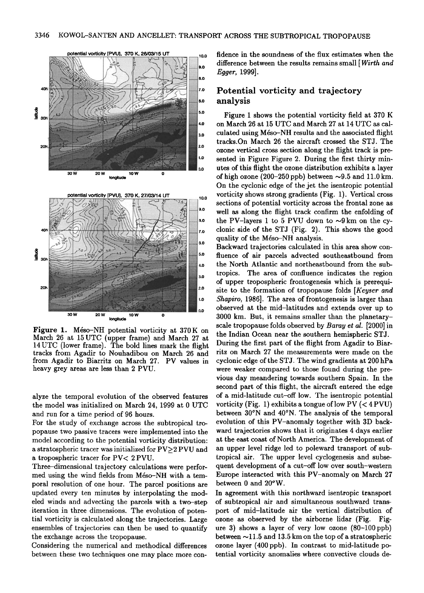o.o



Figure 1. Méso-NH potential vorticity at 370K on March 26 at 15 UTC (upper frame) and March 27 at 14 UTC (lower frame). The bold lines mark the flight tracks from Agadir to Nouhadibou on March 26 and from Agadir to Biarritz on March 27. PV values in heavy grey areas are less than 2 PVU.

longitude

10 V

30 W

alyze the temporal evolution of the observed features the model was initialized on March 24, 1999 at 0 UTC and run for a time period of 96 hours.

For the study of exchange across the subtropical tropopause two passive tracers were implemented into the model according to the potential vorticity distribution: a stratospheric tracer was initialized for PV>2 PVU and a tropospheric tracer for PV< 2 PVU.

Three-dimensional trajectory calculations were performed using the wind fields from Méso-NH with a temporal resolution of one hour. The parcel positions are updated every ten minutes by interpolating the modeled winds and advecting the parcels with a two-step iteration in three dimensions. The evolution of potential vorticity is calculated along the trajectories. Large ensembles of trajectories can then be used to quantify the exchange across the tropopause.

Considering the numerical and methodical differences between these two techniques one may place more confidence in the soundness of the flux estimates when the difference between the results remains small [Wirth and Egger, 1999].

#### Potential vorticity and trajectory analysis

Figure 1 shows the potential vorticity field at 370 K on March 26 at 15 UTC and March 27 at 14 UTC as calculated using Méso-NH results and the associated flight tracks.On March 26 the aircraft crossed the STJ. The ozone vertical cross section along the flight track is presented in Figure Figure 2. During the first thirty minutes of this flight the ozone distribution exhibits a layer of high ozone (200-250 ppb) between  $\sim 9.5$  and 11.0 km. On the cyclonic edge of the jet the isentropic potential vorticity shows strong gradients (Fig. 1). Vertical cross sections of potential vorticity across the frontal zone as well as along the flight track confirm the enfolding of the PV-layers 1 to 5 PVU down to  $\sim 9$  km on the cyclonic side of the STJ (Fig. 2). This shows the good quality of the Méso-NH analysis.

Backward trajectories calculated in this area show confluence of air parcels advected southeastbound from the North Atlantic and northeastbound from the subtropics. The area of confluence indicates the region of upper tropospheric frontogenesis which is prerequisite to the formation of tropopause folds [Keyser and Shapiro, 1986]. The area of frontogenesis is larger than observed at the mid-latitudes and extends over up to 3000 km. But, it remains smaller than the planetaryscale tropopause folds observed by Baray et al. [2000] in the Indian Ocean near the southern hemispheric STJ. During the first part of the flight from Agadir to Biarritz on March 27 the measurements were made on the cyclonic edge of the STJ. The wind gradients at 200 hPa were weaker compared to those found during the previous day meandering towards southern Spain. In the second part of this flight, the aircraft entered the edge of a mid-latitude cut-off low. The isentropic potential vorticity (Fig. 1) exhibits a tongue of low PV  $( $4$  PVU)$ between 30°N and 40°N. The analysis of the temporal evolution of this PV-anomaly together with 3D backward trajectories shows that it originates 4 days earlier at the east coast of North America. The development of an upper level ridge led to poleward transport of subtropical air. The upper level cyclogenesis and subsequent development of a cut-off low over south-western Europe interacted with this PV-anomaly on March 27 between 0 and 20°W.

In agreement with this northward isentropic transport of subtropical air and simultaneous southward transport of mid-latitude air the vertical distribution of ozone as observed by the airborne lidar (Fig. Figure 3) shows a layer of very low ozone  $(80-100$  ppb) between  $\sim$ 11.5 and 13.5 km on the top of a stratospheric ozone layer (400 ppb). In contrast to mid-latitude potential vorticity anomalies where convective clouds de-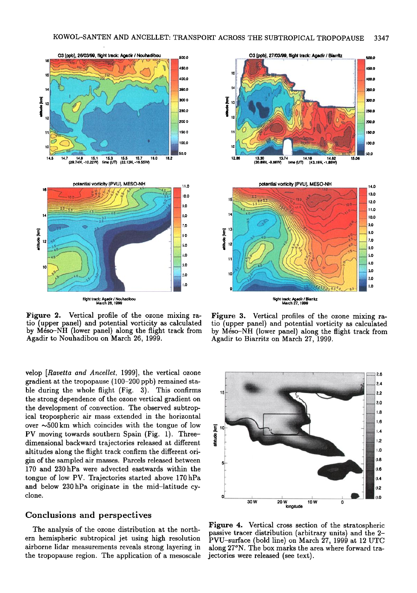

Figure 2. Vertical profile of the ozone mixing ratio (upper panel) and potential vorticity as calculated by Méso-NH (lower panel) along the flight track from Agadir to Nouhadibou on March 26, 1999.

velop [Ravetta and Ancellet, 1999], the vertical ozone gradient at the tropopause  $(100-200 \text{ pb})$  remained stable during the whole flight (Fig. 3). This confirms the strong dependence of the ozone vertical gradient on the development of convection. The observed subtropical tropospheric air mass extended in the horizontal over  $\sim$  500 km which coincides with the tongue of low PV moving towards southern Spain (Fig. 1). Threedimensional backward trajectories released at different altitudes along the flight track confirm the different origin of the sampled air masses. Parcels released between 170 and 230 hPa were advected eastwards within the tongue of low PV. Trajectories started above 170 hPa and below 230 hPa originate in the mid-latitude cyclone.

#### **Conclusions and perspectives**

The analysis of the ozone distribution at the northern hemispheric subtropical jet using high resolution airborne lidar measurements reveals strong layering in the tropopause region. The application of a mesoscale



Figure 3. Vertical profiles of the ozone mixing ratio (upper panel) and potential vorticity as calculated by Méso-NH (lower panel) along the flight track from Agadir to Biarritz on March 27, 1999.



Figure 4. Vertical cross section of the stratospheric passive tracer distribution (arbitrary units) and the 2-PVU-surface (bold line) on March 27, 1999 at 12 UTC along 27°N. The box marks the area where forward trajectories were released (see text).